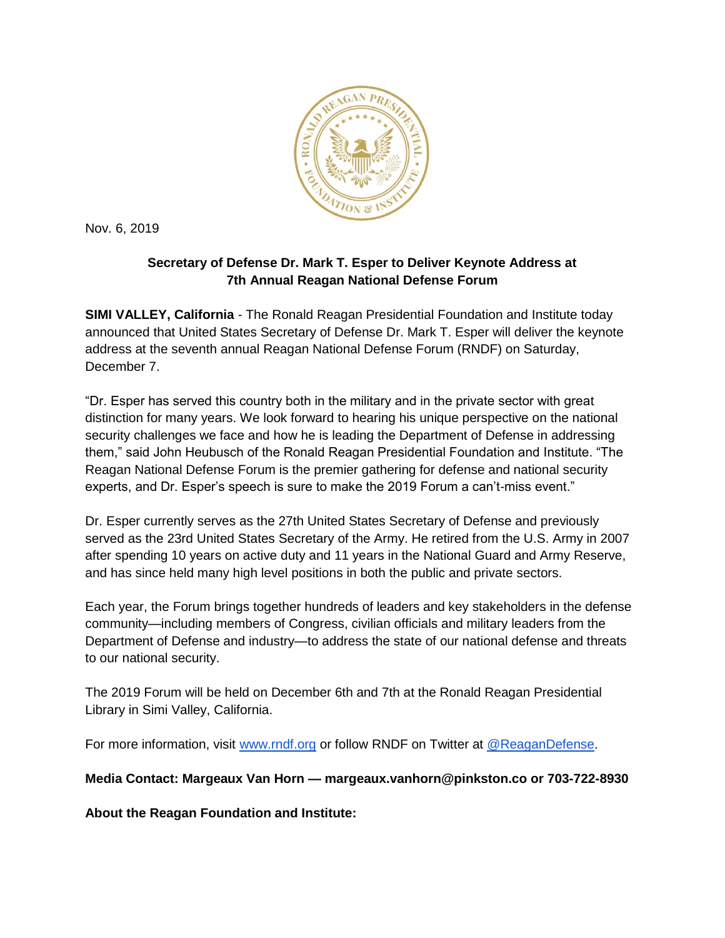

Nov. 6, 2019

## **Secretary of Defense Dr. Mark T. Esper to Deliver Keynote Address at 7th Annual Reagan National Defense Forum**

**SIMI VALLEY, California** - The Ronald Reagan Presidential Foundation and Institute today announced that United States Secretary of Defense Dr. Mark T. Esper will deliver the keynote address at the seventh annual Reagan National Defense Forum (RNDF) on Saturday, December 7.

"Dr. Esper has served this country both in the military and in the private sector with great distinction for many years. We look forward to hearing his unique perspective on the national security challenges we face and how he is leading the Department of Defense in addressing them," said John Heubusch of the Ronald Reagan Presidential Foundation and Institute. "The Reagan National Defense Forum is the premier gathering for defense and national security experts, and Dr. Esper's speech is sure to make the 2019 Forum a can't-miss event."

Dr. Esper currently serves as the 27th United States Secretary of Defense and previously served as the 23rd United States Secretary of the Army. He retired from the U.S. Army in 2007 after spending 10 years on active duty and 11 years in the National Guard and Army Reserve, and has since held many high level positions in both the public and private sectors.

Each year, the Forum brings together hundreds of leaders and key stakeholders in the defense community—including members of Congress, civilian officials and military leaders from the Department of Defense and industry—to address the state of our national defense and threats to our national security.

The 2019 Forum will be held on December 6th and 7th at the Ronald Reagan Presidential Library in Simi Valley, California.

For more information, visit [www.rndf.org](https://www.reaganfoundation.org/reagan-institute/programs/reagan-national-defense-forum/) or follow RNDF on Twitter at [@ReaganDefense.](https://twitter.com/reagandefense)

**Media Contact: Margeaux Van Horn — margeaux.vanhorn@pinkston.co or 703-722-8930**

**About the Reagan Foundation and Institute:**